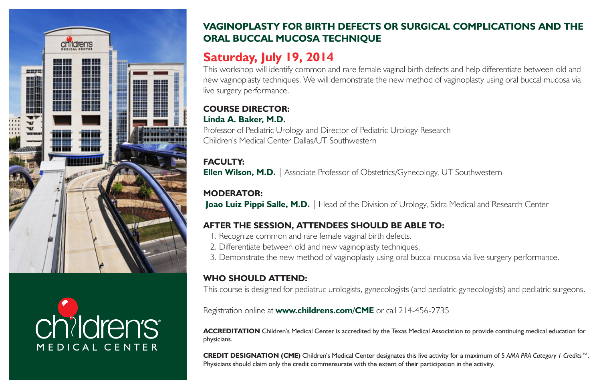



# **VAGINOPLASTY FOR BIRTH DEFECTS OR SURGICAL COMPLICATIONS AND THE ORAL BUCCAL MUCOSA TECHNIQUE**

# **Saturday, July 19, 2014**

This workshop will identify common and rare female vaginal birth defects and help differentiate between old and new vaginoplasty techniques. We will demonstrate the new method of vaginoplasty using oral buccal mucosa via live surgery performance.

#### **COURSE DIRECTOR: Linda A. Baker, M.D.**

Professor of Pediatric Urology and Director of Pediatric Urology Research Children's Medical Center Dallas/UT Southwestern

# **FACULTY:**

**Ellen Wilson, M.D.** | Associate Professor of Obstetrics/Gynecology, UT Southwestern

### **MODERATOR:**

**Joao Luiz Pippi Salle, M.D.** | Head of the Division of Urology, Sidra Medical and Research Center

# **AFTER THE SESSION, ATTENDEES SHOULD BE ABLE TO:**

- 1. Recognize common and rare female vaginal birth defects.
- 2. Differentiate between old and new vaginoplasty techniques.
- 3. Demonstrate the new method of vaginoplasty using oral buccal mucosa via live surgery performance.

#### **WHO SHOULD ATTEND:**

This course is designed for pediatruc urologists, gynecologists (and pediatric gynecologists) and pediatric surgeons.

Registration online at **www.childrens.com/CME** or call 214-456-2735

**ACCREDITATION** Children's Medical Center is accredited by the Texas Medical Association to provide continuing medical education for physicians.

**CREDIT DESIGNATION (CME)** Children's Medical Center designates this live activity for a maximum of 5 *AMA PRA Category 1 Credits*™. Physicians should claim only the credit commensurate with the extent of their participation in the activity.